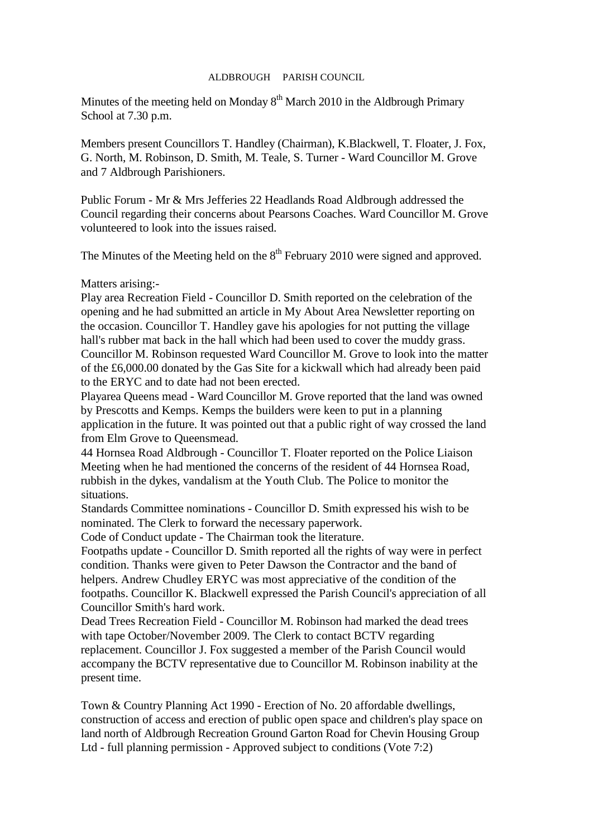## ALDBROUGH PARISH COUNCIL

Minutes of the meeting held on Monday  $8<sup>th</sup>$  March 2010 in the Aldbrough Primary School at 7.30 p.m.

Members present Councillors T. Handley (Chairman), K.Blackwell, T. Floater, J. Fox, G. North, M. Robinson, D. Smith, M. Teale, S. Turner - Ward Councillor M. Grove and 7 Aldbrough Parishioners.

Public Forum - Mr & Mrs Jefferies 22 Headlands Road Aldbrough addressed the Council regarding their concerns about Pearsons Coaches. Ward Councillor M. Grove volunteered to look into the issues raised.

The Minutes of the Meeting held on the  $8<sup>th</sup>$  February 2010 were signed and approved.

Matters arising:-

Play area Recreation Field - Councillor D. Smith reported on the celebration of the opening and he had submitted an article in My About Area Newsletter reporting on the occasion. Councillor T. Handley gave his apologies for not putting the village hall's rubber mat back in the hall which had been used to cover the muddy grass. Councillor M. Robinson requested Ward Councillor M. Grove to look into the matter of the £6,000.00 donated by the Gas Site for a kickwall which had already been paid to the ERYC and to date had not been erected.

Playarea Queens mead - Ward Councillor M. Grove reported that the land was owned by Prescotts and Kemps. Kemps the builders were keen to put in a planning application in the future. It was pointed out that a public right of way crossed the land from Elm Grove to Queensmead.

44 Hornsea Road Aldbrough - Councillor T. Floater reported on the Police Liaison Meeting when he had mentioned the concerns of the resident of 44 Hornsea Road, rubbish in the dykes, vandalism at the Youth Club. The Police to monitor the situations.

Standards Committee nominations - Councillor D. Smith expressed his wish to be nominated. The Clerk to forward the necessary paperwork.

Code of Conduct update - The Chairman took the literature.

Footpaths update - Councillor D. Smith reported all the rights of way were in perfect condition. Thanks were given to Peter Dawson the Contractor and the band of helpers. Andrew Chudley ERYC was most appreciative of the condition of the footpaths. Councillor K. Blackwell expressed the Parish Council's appreciation of all Councillor Smith's hard work.

Dead Trees Recreation Field - Councillor M. Robinson had marked the dead trees with tape October/November 2009. The Clerk to contact BCTV regarding replacement. Councillor J. Fox suggested a member of the Parish Council would accompany the BCTV representative due to Councillor M. Robinson inability at the present time.

Town & Country Planning Act 1990 - Erection of No. 20 affordable dwellings, construction of access and erection of public open space and children's play space on land north of Aldbrough Recreation Ground Garton Road for Chevin Housing Group Ltd - full planning permission - Approved subject to conditions (Vote 7:2)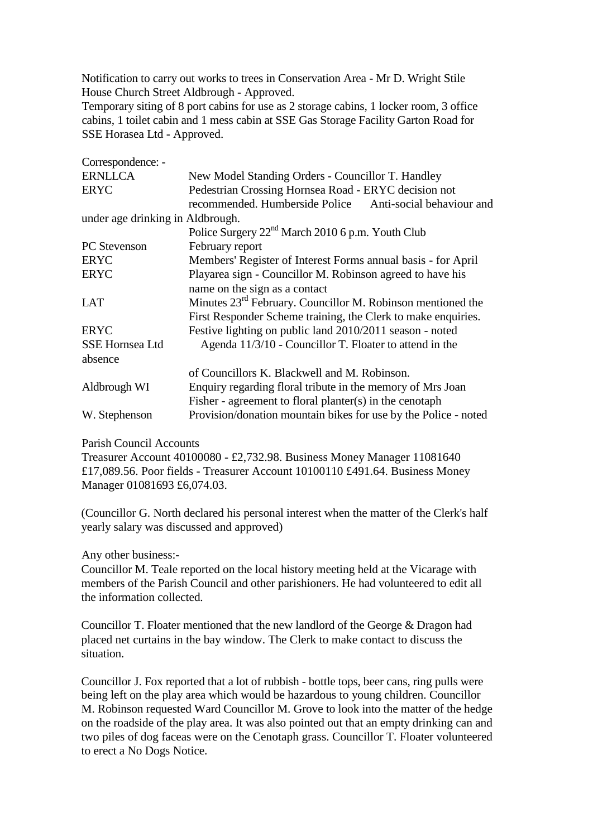Notification to carry out works to trees in Conservation Area - Mr D. Wright Stile House Church Street Aldbrough - Approved.

Temporary siting of 8 port cabins for use as 2 storage cabins, 1 locker room, 3 office cabins, 1 toilet cabin and 1 mess cabin at SSE Gas Storage Facility Garton Road for SSE Horasea Ltd - Approved.

| Correspondence: -                |                                                                 |
|----------------------------------|-----------------------------------------------------------------|
| <b>ERNLLCA</b>                   | New Model Standing Orders - Councillor T. Handley               |
| <b>ERYC</b>                      | Pedestrian Crossing Hornsea Road - ERYC decision not            |
|                                  | recommended. Humberside Police<br>Anti-social behaviour and     |
| under age drinking in Aldbrough. |                                                                 |
|                                  | Police Surgery 22 <sup>nd</sup> March 2010 6 p.m. Youth Club    |
| <b>PC</b> Stevenson              | February report                                                 |
| <b>ERYC</b>                      | Members' Register of Interest Forms annual basis - for April    |
| <b>ERYC</b>                      | Playarea sign - Councillor M. Robinson agreed to have his       |
|                                  | name on the sign as a contact                                   |
| <b>LAT</b>                       | Minutes $23rd$ February. Councillor M. Robinson mentioned the   |
|                                  | First Responder Scheme training, the Clerk to make enquiries.   |
| <b>ERYC</b>                      | Festive lighting on public land 2010/2011 season - noted        |
| <b>SSE Hornsea Ltd</b>           | Agenda 11/3/10 - Councillor T. Floater to attend in the         |
| absence                          |                                                                 |
|                                  | of Councillors K. Blackwell and M. Robinson.                    |
| Aldbrough WI                     | Enquiry regarding floral tribute in the memory of Mrs Joan      |
|                                  | Fisher - agreement to floral planter(s) in the cenotaph         |
| W. Stephenson                    | Provision/donation mountain bikes for use by the Police - noted |
|                                  |                                                                 |

## Parish Council Accounts

Treasurer Account 40100080 - £2,732.98. Business Money Manager 11081640 £17,089.56. Poor fields - Treasurer Account 10100110 £491.64. Business Money Manager 01081693 £6,074.03.

(Councillor G. North declared his personal interest when the matter of the Clerk's half yearly salary was discussed and approved)

Any other business:-

Councillor M. Teale reported on the local history meeting held at the Vicarage with members of the Parish Council and other parishioners. He had volunteered to edit all the information collected.

Councillor T. Floater mentioned that the new landlord of the George & Dragon had placed net curtains in the bay window. The Clerk to make contact to discuss the situation.

Councillor J. Fox reported that a lot of rubbish - bottle tops, beer cans, ring pulls were being left on the play area which would be hazardous to young children. Councillor M. Robinson requested Ward Councillor M. Grove to look into the matter of the hedge on the roadside of the play area. It was also pointed out that an empty drinking can and two piles of dog faceas were on the Cenotaph grass. Councillor T. Floater volunteered to erect a No Dogs Notice.